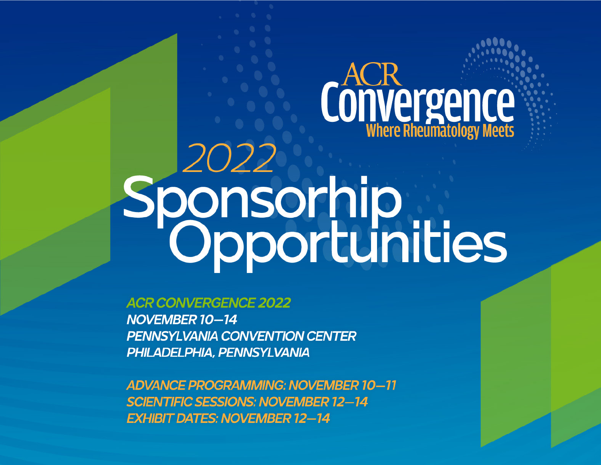# Convergence Sponsorhip<br>Opportunities

**ACR CONVERGENCE 2022** NOVEMBER 10-14 **PENNSYLVANIA CONVENTION CENTER** PHILADELPHIA, PENNSYLVANIA

**ADVANCE PROGRAMMING: NOVEMBER 10-11 SCIENTIFIC SESSIONS: NOVEMBER 12-14 EXHIBIT DATES: NOVEMBER 12-14**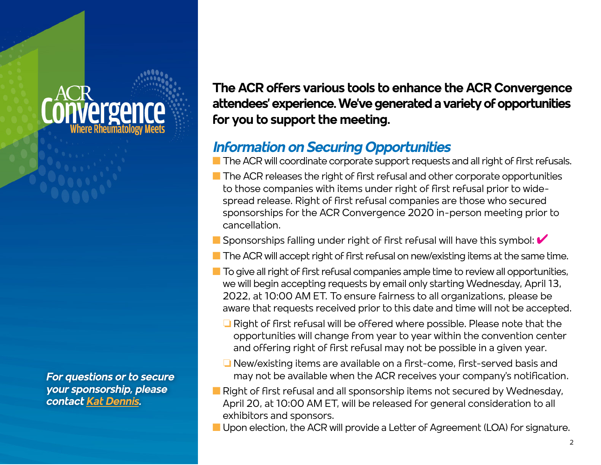*For questions or to secure your sponsorship, please contact [Kat Dennis.](mailto:kdennis%40rheumatology.org?subject=)*

**The ACR offers various tools to enhance the ACR Convergence attendees' experience. We've generated a variety of opportunities for you to support the meeting.**

### *Information on Securing Opportunities*

**n The ACR will coordinate corporate support requests and all right of first refusals.** 

- $\blacksquare$  The ACR releases the right of first refusal and other corporate opportunities to those companies with items under right of first refusal prior to widespread release. Right of first refusal companies are those who secured sponsorships for the ACR Convergence 2020 in-person meeting prior to cancellation.
- **n** Sponsorships falling under right of first refusal will have this symbol:  $\blacktriangledown$
- $\blacksquare$  The ACR will accept right of first refusal on new/existing items at the same time.
- $\blacksquare$  To give all right of first refusal companies ample time to review all opportunities, we will begin accepting requests by email only starting Wednesday, April 13, 2022, at 10:00 AM ET. To ensure fairness to all organizations, please be aware that requests received prior to this date and time will not be accepted.
	- $\Box$  Right of first refusal will be offered where possible. Please note that the opportunities will change from year to year within the convention center and offering right of first refusal may not be possible in a given year.
	- $\Box$  New/existing items are available on a first-come, first-served basis and may not be available when the ACR receives your company's notification.
- $\blacksquare$  Right of first refusal and all sponsorship items not secured by Wednesday, April 20, at 10:00 AM ET, will be released for general consideration to all exhibitors and sponsors.
- Upon election, the ACR will provide a Letter of Agreement (LOA) for signature.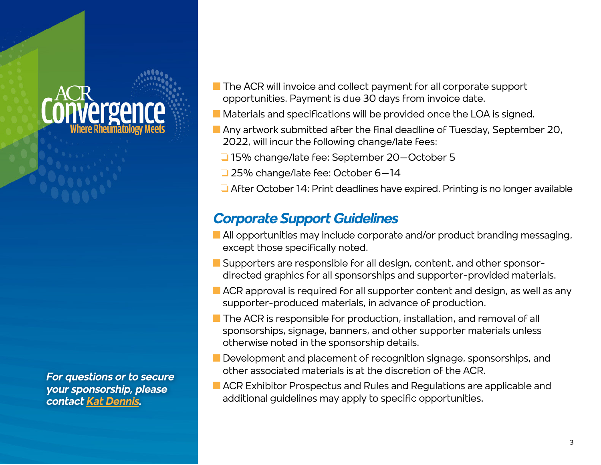*For questions or to secure your sponsorship, please contact [Kat Dennis.](mailto:kdennis%40rheumatology.org?subject=)*

- $\blacksquare$  The ACR will invoice and collect payment for all corporate support opportunities. Payment is due 30 days from invoice date.
- $\blacksquare$  Materials and specifications will be provided once the LOA is signed.
- $\blacksquare$  Any artwork submitted after the final deadline of Tuesday, September 20, 2022, will incur the following change/late fees:
	- 15% change/late fee: September 20–October 5
	- $\square$  25% change/late fee: October 6–14
	- $\Box$  After October 14: Print deadlines have expired. Printing is no longer available

### *Corporate Support Guidelines*

- $\blacksquare$  All opportunities may include corporate and/or product branding messaging, except those specifically noted.
- **n** Supporters are responsible for all design, content, and other sponsordirected graphics for all sponsorships and supporter-provided materials.
- $\blacksquare$  ACR approval is required for all supporter content and design, as well as any supporter-produced materials, in advance of production.
- **n** The ACR is responsible for production, installation, and removal of all sponsorships, signage, banners, and other supporter materials unless otherwise noted in the sponsorship details.
- **n** Development and placement of recognition signage, sponsorships, and other associated materials is at the discretion of the ACR.
- **n ACR Exhibitor Prospectus and Rules and Regulations are applicable and** additional guidelines may apply to specific opportunities.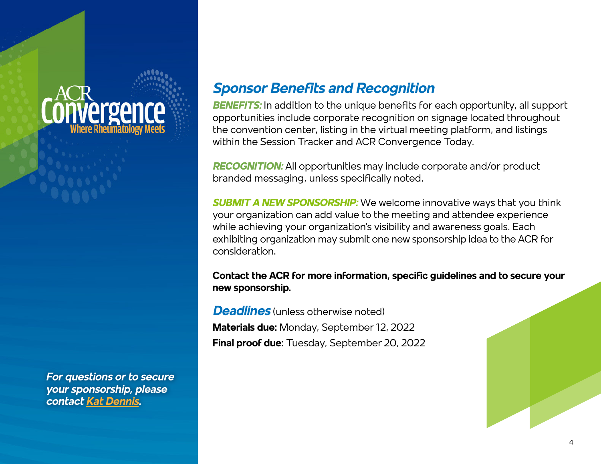# **erger**

*For questions or to secure your sponsorship, please contact [Kat Dennis.](mailto:kdennis%40rheumatology.org?subject=)*

### *Sponsor Benefits and Recognition*

**BENEFITS:** In addition to the unique benefits for each opportunity, all support opportunities include corporate recognition on signage located throughout the convention center, listing in the virtual meeting platform, and listings within the Session Tracker and ACR Convergence Today.

*RECOGNITION:* All opportunities may include corporate and/or product branded messaging, unless specifically noted.

*SUBMIT A NEW SPONSORSHIP:* We welcome innovative ways that you think your organization can add value to the meeting and attendee experience while achieving your organization's visibility and awareness goals. Each exhibiting organization may submit one new sponsorship idea to the ACR for consideration.

**Contact the ACR for more information, specific guidelines and to secure your new sponsorship.**

**Deadlines** (unless otherwise noted) **Materials due:** Monday, September 12, 2022 **Final proof due:** Tuesday, September 20, 2022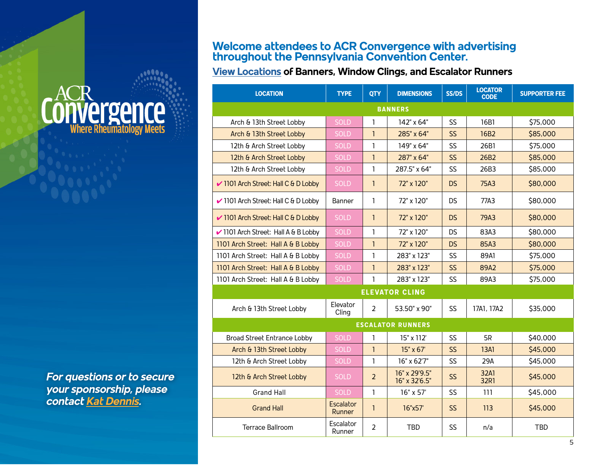# Convergence

*For questions or to secure your sponsorship, please contact [Kat Dennis.](mailto:kdennis%40rheumatology.org?subject=)*

#### **Welcome attendees to ACR Convergence with advertising throughout the Pennsylvania Convention Center.**

#### **[View Locations](https://www.rheumatology.org/Portals/0/Files/Annual-Meeting-Banner-Escalator-Cling-Sponsorship.pdf?ver=NbYpjYiR3SOOA_DaHTDxsQ%3d%3d) of Banners, Window Clings, and Escalator Runners**

| <b>LOCATION</b>                      | <b>TYPE</b>                | <b>QTY</b>     | <b>DIMENSIONS</b>              | <b>SS/DS</b> | <b>LOCATOR</b><br><b>CODE</b> | <b>SUPPORTER FEE</b> |  |  |  |  |
|--------------------------------------|----------------------------|----------------|--------------------------------|--------------|-------------------------------|----------------------|--|--|--|--|
| <b>BANNERS</b>                       |                            |                |                                |              |                               |                      |  |  |  |  |
| Arch & 13th Street Lobby             | <b>SOLD</b>                | $\mathbf{1}$   | 142" x 64"                     | <b>SS</b>    | 16B1                          | \$75,000             |  |  |  |  |
| Arch & 13th Street Lobby             | <b>SOLD</b>                | $\mathbf{1}$   | 285" x 64"                     | <b>SS</b>    | 16B2                          | \$85,000             |  |  |  |  |
| 12th & Arch Street Lobby             | <b>SOLD</b>                | $\mathbf{1}$   | 149" x 64"                     | <b>SS</b>    | 26B1                          | \$75,000             |  |  |  |  |
| 12th & Arch Street Lobby             | <b>SOLD</b>                | $\overline{1}$ | 287" x 64"                     | SS           | 26B2                          | \$85,000             |  |  |  |  |
| 12th & Arch Street Lobby             | <b>SOLD</b>                | $\mathbf{1}$   | 287.5" x 64"                   | SS           | 26B3                          | \$85,000             |  |  |  |  |
| ✔ 1101 Arch Street: Hall C & D Lobby | <b>SOLD</b>                | $\mathbf{1}$   | 72" x 120"                     | <b>DS</b>    | 75A3                          | \$80,000             |  |  |  |  |
| ✔ 1101 Arch Street: Hall C & D Lobby | Banner                     | $\mathbf{1}$   | 72" x 120"                     | <b>DS</b>    | 77A3                          | \$80,000             |  |  |  |  |
| ✔ 1101 Arch Street: Hall C & D Lobby | <b>SOLD</b>                | $\mathbf{1}$   | 72" x 120"                     | <b>DS</b>    | 79A3                          | \$80,000             |  |  |  |  |
| ✔ 1101 Arch Street: Hall A & B Lobby | <b>SOLD</b>                | $\mathbf{1}$   | 72" x 120"                     | <b>DS</b>    | 83A3                          | \$80,000             |  |  |  |  |
| 1101 Arch Street: Hall A & B Lobby   | <b>SOLD</b>                | $\mathbf{1}$   | 72" x 120"                     | <b>DS</b>    | 85A3                          | \$80,000             |  |  |  |  |
| 1101 Arch Street: Hall A & B Lobby   | <b>SOLD</b>                | $\mathbf{1}$   | 283" x 123"                    | SS           | 89A1                          | \$75,000             |  |  |  |  |
| 1101 Arch Street: Hall A & B Lobby   | <b>SOLD</b>                | $\mathbf{1}$   | 283" x 123"                    | <b>SS</b>    | 89A2                          | \$75,000             |  |  |  |  |
| 1101 Arch Street: Hall A & B Lobby   | <b>SOLD</b>                | 1              | 283" x 123"                    | SS           | 89A3                          | \$75,000             |  |  |  |  |
| <b>ELEVATOR CLING</b>                |                            |                |                                |              |                               |                      |  |  |  |  |
| Arch & 13th Street Lobby             | Elevator<br>Cling          | $\overline{2}$ | 53.50" x 90"                   | SS           | 17A1, 17A2                    | \$35,000             |  |  |  |  |
| <b>ESCALATOR RUNNERS</b>             |                            |                |                                |              |                               |                      |  |  |  |  |
| <b>Broad Street Entrance Lobby</b>   | <b>SOLD</b>                | 1              | 15" x 112'                     | SS           | 5R                            | \$40,000             |  |  |  |  |
| Arch & 13th Street Lobby             | <b>SOLD</b>                | $\mathbf{1}$   | 15" x 67'                      | <b>SS</b>    | 13A1                          | \$45,000             |  |  |  |  |
| 12th & Arch Street Lobby             | <b>SOLD</b>                | $\mathbf{1}$   | 16" x 62'7"                    | SS           | 29A                           | \$45,000             |  |  |  |  |
| 12th & Arch Street Lobby             | <b>SOLD</b>                | $\overline{2}$ | 16" x 29'9.5"<br>16" x 32'6.5" | SS           | 32A1<br>32R1                  | \$45,000             |  |  |  |  |
| <b>Grand Hall</b>                    | <b>SOLD</b>                | $\mathbf{1}$   | 16" x 57'                      | SS           | 111                           | \$45,000             |  |  |  |  |
| <b>Grand Hall</b>                    | Escalator<br><b>Runner</b> | $\overline{1}$ | 16"x57'                        | <b>SS</b>    | 113                           | \$45,000             |  |  |  |  |
| <b>Terrace Ballroom</b>              | Escalator<br>Runner        | $\overline{2}$ | <b>TBD</b>                     | <b>SS</b>    | n/a                           | <b>TBD</b>           |  |  |  |  |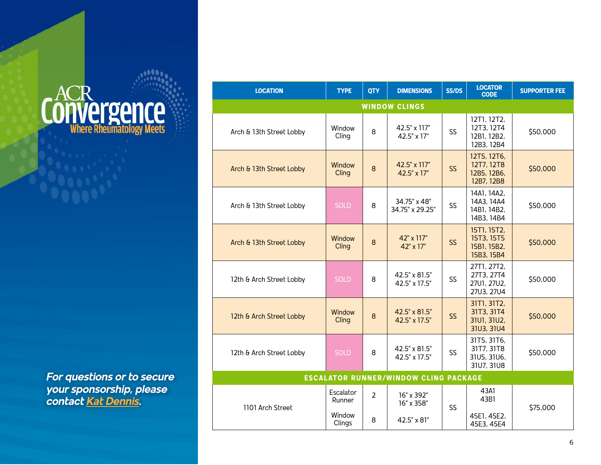

*For questions or to secure your sponsorship, please contact [Kat Dennis.](mailto:kdennis%40rheumatology.org?subject=)*

| <b>LOCATION</b>                              | <b>TYPE</b>            | <b>QTY</b>     | <b>DIMENSIONS</b>               | SS/DS     | <b>LOCATOR</b><br><b>CODE</b>                          | <b>SUPPORTER FEE</b> |  |  |  |  |
|----------------------------------------------|------------------------|----------------|---------------------------------|-----------|--------------------------------------------------------|----------------------|--|--|--|--|
| <b>WINDOW CLINGS</b>                         |                        |                |                                 |           |                                                        |                      |  |  |  |  |
| Arch & 13th Street Lobby                     | Window<br>Cling        | 8              | 42.5" x 117"<br>42.5" x 17"     | <b>SS</b> | 12T1, 12T2,<br>12T3, 12T4<br>12B1, 12B2,<br>12B3, 12B4 | \$50,000             |  |  |  |  |
| Arch & 13th Street Lobby                     | Window<br><b>Cling</b> | 8              | 42.5" x 117"<br>42.5" x 17"     | <b>SS</b> | 12T5, 12T6,<br>12T7, 12T8<br>12B5, 12B6,<br>12B7, 12B8 | \$50,000             |  |  |  |  |
| Arch & 13th Street Lobby                     | <b>SOLD</b>            | 8              | 34.75" x 48"<br>34.75" x 29.25" | SS        | 14A1, 14A2,<br>14A3, 14A4<br>14B1, 14B2,<br>14B3, 14B4 | \$50,000             |  |  |  |  |
| Arch & 13th Street Lobby                     | Window<br>Cling        | 8              | 42" x 117"<br>42" x 17"         | <b>SS</b> | 15T1, 15T2,<br>15T3, 15T5<br>15B1, 15B2,<br>15B3, 15B4 | \$50,000             |  |  |  |  |
| 12th & Arch Street Lobby                     | <b>SOLD</b>            | 8              | 42.5" x 81.5"<br>42.5" x 17.5"  | <b>SS</b> | 27T1, 27T2,<br>27T3, 27T4<br>27U1, 27U2,<br>27U3, 27U4 | \$50,000             |  |  |  |  |
| 12th & Arch Street Lobby                     | Window<br>Cling        | 8              | 42.5" x 81.5"<br>42.5" x 17.5"  | <b>SS</b> | 31T1, 31T2,<br>31T3, 31T4<br>31U1, 31U2,<br>31U3, 31U4 | \$50,000             |  |  |  |  |
| 12th & Arch Street Lobby                     | <b>SOLD</b>            | 8              | 42.5" x 81.5"<br>42.5" x 17.5"  | SS        | 31T5, 31T6,<br>31T7, 31T8<br>31U5, 31U6,<br>31U7, 31U8 | \$50,000             |  |  |  |  |
| <b>ESCALATOR RUNNER/WINDOW CLING PACKAGE</b> |                        |                |                                 |           |                                                        |                      |  |  |  |  |
| 1101 Arch Street                             | Escalator<br>Runner    | $\overline{2}$ | 16" x 392"<br>16" x 358"        | <b>SS</b> | 43A1<br>43B1                                           | \$75,000             |  |  |  |  |
|                                              | Window<br>Clings       | 8              | 42.5" x 81"                     |           | 45E1, 45E2,<br>45E3, 45E4                              |                      |  |  |  |  |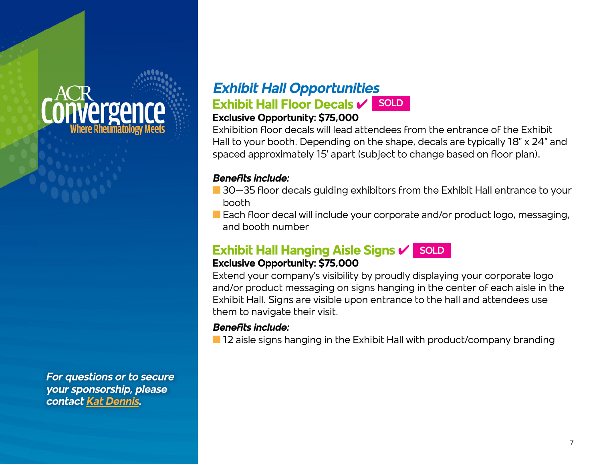# **Prgence**

*For questions or to secure your sponsorship, please contact [Kat Dennis.](mailto:kdennis%40rheumatology.org?subject=)*

### *Exhibit Hall Opportunities* **Exhibit Hall Floor Decals**  $\checkmark$  **SOLD**

#### **Exclusive Opportunity: \$75,000**

Exhibition floor decals will lead attendees from the entrance of the Exhibit Hall to your booth. Depending on the shape, decals are typically 18" x 24" and spaced approximately 15' apart (subject to change based on floor plan).

#### *Benefits include:*

- $\blacksquare$  30–35 floor decals guiding exhibitors from the Exhibit Hall entrance to your booth
- Each floor decal will include your corporate and/or product logo, messaging, and booth number

### **Exhibit Hall Hanging Aisle Signs**  $\checkmark$  **SOLD**

#### **Exclusive Opportunity: \$75,000**

Extend your company's visibility by proudly displaying your corporate logo and/or product messaging on signs hanging in the center of each aisle in the Exhibit Hall. Signs are visible upon entrance to the hall and attendees use them to navigate their visit.

#### *Benefits include:*

■ 12 aisle signs hanging in the Exhibit Hall with product/company branding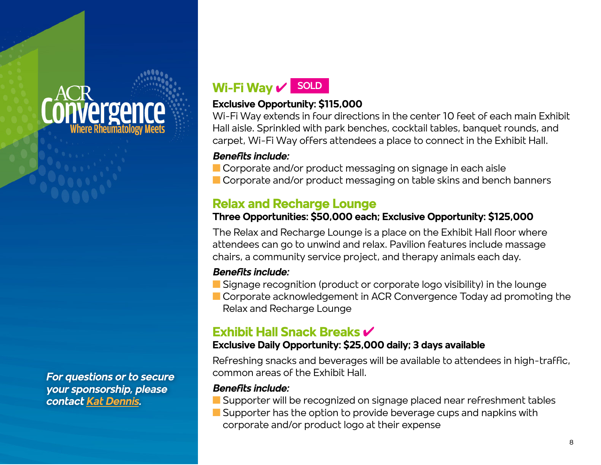*For questions or to secure your sponsorship, please contact [Kat Dennis.](mailto:kdennis%40rheumatology.org?subject=)*

# **Wi-Fi Way** 4 **SOLD**

#### **Exclusive Opportunity: \$115,000**

Wi-Fi Way extends in four directions in the center 10 feet of each main Exhibit Hall aisle. Sprinkled with park benches, cocktail tables, banquet rounds, and carpet, Wi-Fi Way offers attendees a place to connect in the Exhibit Hall.

#### *Benefits include:*

- $\blacksquare$  Corporate and/or product messaging on signage in each aisle
- **n** Corporate and/or product messaging on table skins and bench banners

### **Relax and Recharge Lounge**

#### **Three Opportunities: \$50,000 each; Exclusive Opportunity: \$125,000**

The Relax and Recharge Lounge is a place on the Exhibit Hall floor where attendees can go to unwind and relax. Pavilion features include massage chairs, a community service project, and therapy animals each day.

#### *Benefits include:*

- $\blacksquare$  Signage recognition (product or corporate logo visibility) in the lounge
- Corporate acknowledgement in ACR Convergence Today ad promoting the Relax and Recharge Lounge

#### **Exhibit Hall Snack Breaks** 4

#### **Exclusive Daily Opportunity: \$25,000 daily; 3 days available**

Refreshing snacks and beverages will be available to attendees in high-traffic, common areas of the Exhibit Hall.

#### *Benefits include:*

**n Supporter will be recognized on signage placed near refreshment tables**  $\blacksquare$  Supporter has the option to provide beverage cups and napkins with corporate and/or product logo at their expense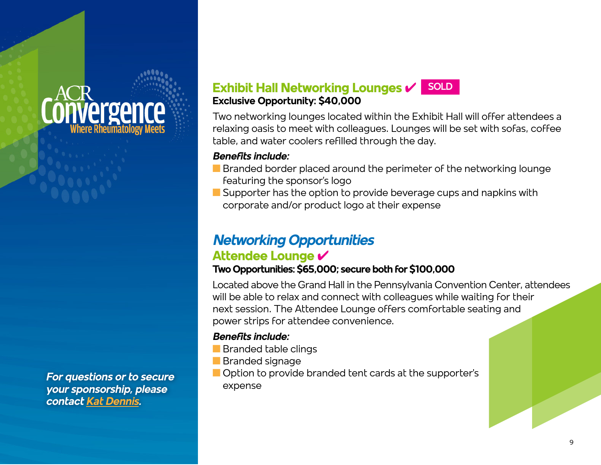# *Iergen*

*For questions or to secure your sponsorship, please contact [Kat Dennis.](mailto:kdennis%40rheumatology.org?subject=)*

### **Exhibit Hall Networking Lounges**  $\boldsymbol{\mathcal{V}}$  **SOLD Exclusive Opportunity: \$40,000**

Two networking lounges located within the Exhibit Hall will offer attendees a relaxing oasis to meet with colleagues. Lounges will be set with sofas, coffee table, and water coolers refilled through the day.

#### *Benefits include:*

- $\blacksquare$  Branded border placed around the perimeter of the networking lounge featuring the sponsor's logo
- $\blacksquare$  Supporter has the option to provide beverage cups and napkins with corporate and/or product logo at their expense

# *Networking Opportunities*

### **Attendee Lounge** 4

#### **Two Opportunities: \$65,000; secure both for \$100,000**

Located above the Grand Hall in the Pennsylvania Convention Center, attendees will be able to relax and connect with colleagues while waiting for their next session. The Attendee Lounge offers comfortable seating and power strips for attendee convenience.

- **n** Branded table clings
- **n** Branded signage
- $\blacksquare$  Option to provide branded tent cards at the supporter's expense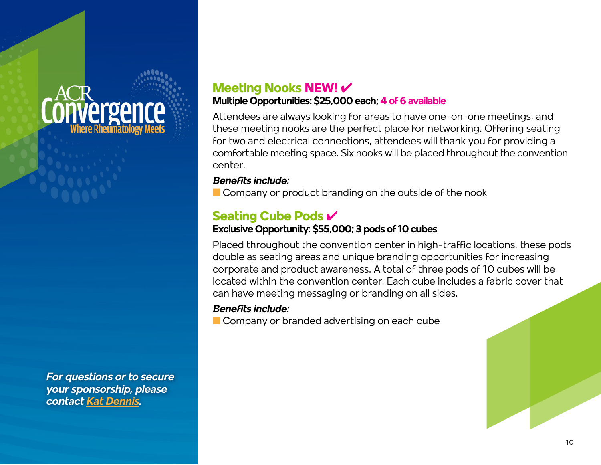*For questions or to secure your sponsorship, please contact [Kat Dennis.](mailto:kdennis%40rheumatology.org?subject=)*

# **Meeting Nooks NEW!**

#### **Multiple Opportunities: \$25,000 each; 4 of 6 available**

Attendees are always looking for areas to have one-on-one meetings, and these meeting nooks are the perfect place for networking. Offering seating for two and electrical connections, attendees will thank you for providing a comfortable meeting space. Six nooks will be placed throughout the convention center.

#### *Benefits include:*

 $\blacksquare$  Company or product branding on the outside of the nook

### **Seating Cube Pods** 4

#### **Exclusive Opportunity: \$55,000; 3 pods of 10 cubes**

Placed throughout the convention center in high-traffic locations, these pods double as seating areas and unique branding opportunities for increasing corporate and product awareness. A total of three pods of 10 cubes will be located within the convention center. Each cube includes a fabric cover that can have meeting messaging or branding on all sides.

#### *Benefits include:*

 $\blacksquare$  Company or branded advertising on each cube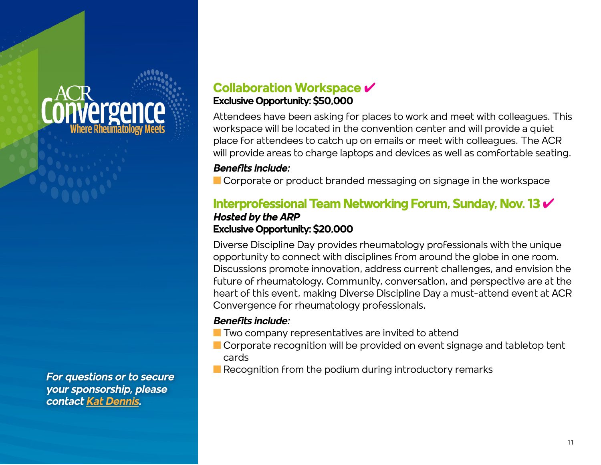# **Propr**

*For questions or to secure your sponsorship, please contact [Kat Dennis.](mailto:kdennis%40rheumatology.org?subject=)*

#### **Collaboration Workspace** 4 **Exclusive Opportunity: \$50,000**

Attendees have been asking for places to work and meet with colleagues. This workspace will be located in the convention center and will provide a quiet place for attendees to catch up on emails or meet with colleagues. The ACR will provide areas to charge laptops and devices as well as comfortable seating.

#### *Benefits include:*

 $\blacksquare$  Corporate or product branded messaging on signage in the workspace

#### **Interprofessional Team Networking Forum, Sunday, Nov. 13** 4 *Hosted by the ARP* **Exclusive Opportunity: \$20,000**

Diverse Discipline Day provides rheumatology professionals with the unique opportunity to connect with disciplines from around the globe in one room. Discussions promote innovation, address current challenges, and envision the future of rheumatology. Community, conversation, and perspective are at the heart of this event, making Diverse Discipline Day a must-attend event at ACR Convergence for rheumatology professionals.

- $\blacksquare$  Two company representatives are invited to attend
- $\blacksquare$  Corporate recognition will be provided on event signage and tabletop tent cards
- $\blacksquare$  Recognition from the podium during introductory remarks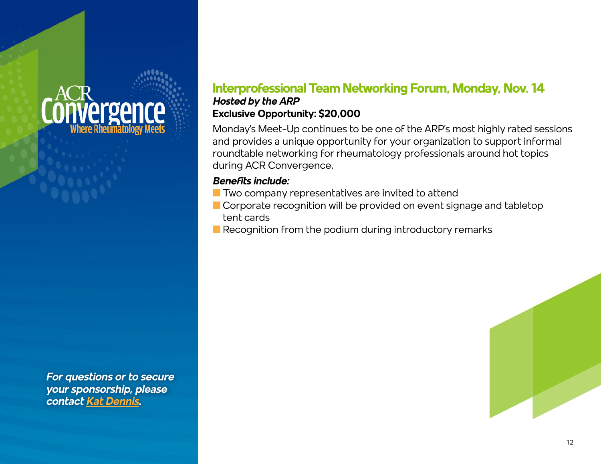# *ièrgence*

*For questions or to secure your sponsorship, please contact [Kat Dennis.](mailto:kdennis%40rheumatology.org?subject=)*

#### **Interprofessional Team Networking Forum, Monday, Nov. 14** *Hosted by the ARP* **Exclusive Opportunity: \$20,000**

Monday's Meet-Up continues to be one of the ARP's most highly rated sessions and provides a unique opportunity for your organization to support informal roundtable networking for rheumatology professionals around hot topics during ACR Convergence.

- $\blacksquare$  Two company representatives are invited to attend
- **n** Corporate recognition will be provided on event signage and tabletop tent cards
- $\blacksquare$  Recognition from the podium during introductory remarks

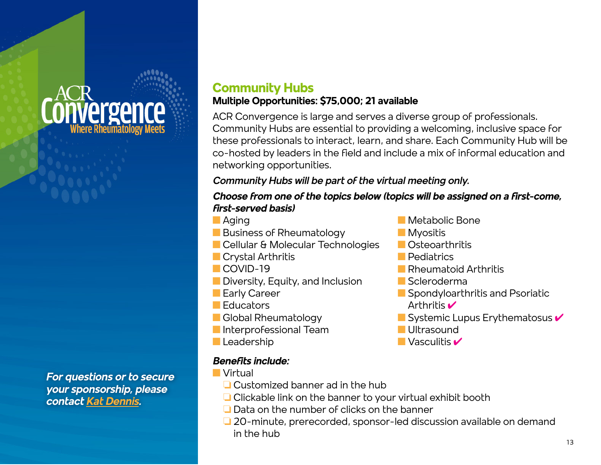# *rergence*

*For questions or to secure your sponsorship, please contact [Kat Dennis.](mailto:kdennis%40rheumatology.org?subject=)*

#### **Community Hubs Multiple Opportunities: \$75,000; 21 available**

ACR Convergence is large and serves a diverse group of professionals. Community Hubs are essential to providing a welcoming, inclusive space for these professionals to interact, learn, and share. Each Community Hub will be co-hosted by leaders in the field and include a mix of informal education and networking opportunities.

#### *Community Hubs will be part of the virtual meeting only.*

#### *Choose from one of the topics below (topics will be assigned on a first-come, first-served basis)*

- **n** Aging
- **n** Business of Rheumatology
- Cellular & Molecular Technologies
- $\blacksquare$  Crystal Arthritis
- $COVID-19$
- $\blacksquare$  Diversity, Equity, and Inclusion
- **Early Career**
- **n** Educators
- **n** Global Rheumatology
- **n** Interprofessional Team
- **Leadership**

- **Nirtual** 
	- $\Box$  Customized banner ad in the hub
	- $\Box$  Clickable link on the banner to your virtual exhibit booth
	- $\square$  Data on the number of clicks on the banner
	- $\square$  20-minute, prerecorded, sponsor-led discussion available on demand in the hub
- **Netabolic Bone**
- $\blacksquare$  Myositis
- **n** Osteoarthritis
- **Pediatrics**
- **n** Rheumatoid Arthritis
- **n** Scleroderma
- $\blacksquare$  Spondyloarthritis and Psoriatic Arthritis  $\boldsymbol{\checkmark}$
- **n** Systemic Lupus Erythematosus  $\checkmark$
- **N** Ultrasound
- $\blacksquare$  Vasculitis  $\blacktriangleright$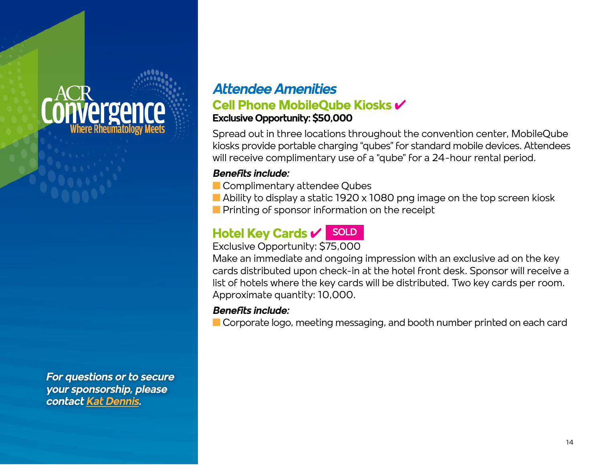# **Prgen**

*For questions or to secure your sponsorship, please contact [Kat Dennis.](mailto:kdennis%40rheumatology.org?subject=)*

### *Attendee Amenities* **Cell Phone MobileQube Kiosks** 4 **Exclusive Opportunity: \$50,000**

Spread out in three locations throughout the convention center, MobileQube kiosks provide portable charging "qubes" for standard mobile devices. Attendees will receive complimentary use of a "qube" for a 24-hour rental period.

#### *Benefits include:*

- **n** Complimentary attendee Qubes
- $\blacksquare$  Ability to display a static 1920 x 1080 png image on the top screen kiosk
- $\blacksquare$  Printing of sponsor information on the receipt

### **Hotel Key Cards**  $\boldsymbol{\mathsf{v}}$  **SOLD**

Exclusive Opportunity: \$75,000

Make an immediate and ongoing impression with an exclusive ad on the key cards distributed upon check-in at the hotel front desk. Sponsor will receive a list of hotels where the key cards will be distributed. Two key cards per room. Approximate quantity: 10,000.

#### *Benefits include:*

**n** Corporate logo, meeting messaging, and booth number printed on each card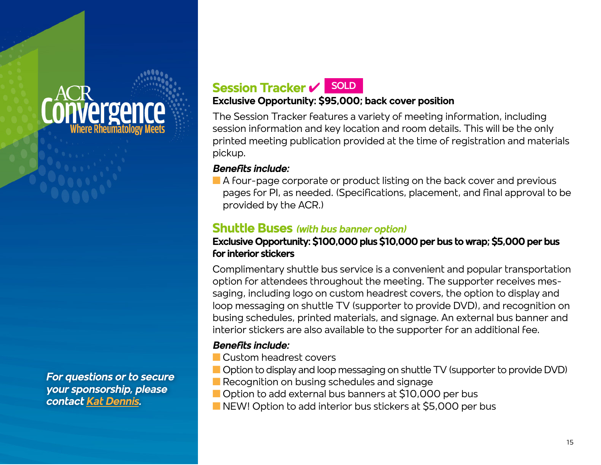*For questions or to secure your sponsorship, please contact [Kat Dennis.](mailto:kdennis%40rheumatology.org?subject=)*

### **Session Tracker** 4 **SOLD**

#### **Exclusive Opportunity: \$95,000; back cover position**

The Session Tracker features a variety of meeting information, including session information and key location and room details. This will be the only printed meeting publication provided at the time of registration and materials pickup.

#### *Benefits include:*

 $\blacksquare$  A four-page corporate or product listing on the back cover and previous pages for PI, as needed. (Specifications, placement, and final approval to be provided by the ACR.)

#### **Shuttle Buses** *(with bus banner option)*

#### **Exclusive Opportunity: \$100,000 plus \$10,000 per bus to wrap; \$5,000 per bus for interior stickers**

Complimentary shuttle bus service is a convenient and popular transportation option for attendees throughout the meeting. The supporter receives messaging, including logo on custom headrest covers, the option to display and loop messaging on shuttle TV (supporter to provide DVD), and recognition on busing schedules, printed materials, and signage. An external bus banner and interior stickers are also available to the supporter for an additional fee.

- **n** Custom headrest covers
- $\blacksquare$  Option to display and loop messaging on shuttle TV (supporter to provide DVD)
- $\blacksquare$  Recognition on busing schedules and signage
- Option to add external bus banners at \$10,000 per bus
- **NEW!** Option to add interior bus stickers at \$5,000 per bus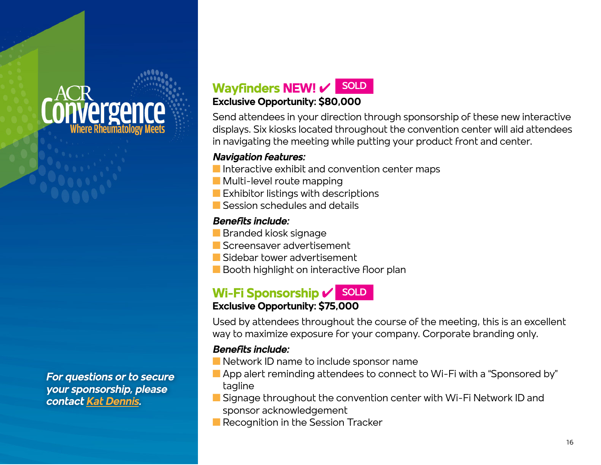# **rergence**

*For questions or to secure your sponsorship, please contact [Kat Dennis.](mailto:kdennis%40rheumatology.org?subject=)*

#### **Wayfinders NEW!**  $\checkmark$  **SOLD Exclusive Opportunity: \$80,000**

Send attendees in your direction through sponsorship of these new interactive displays. Six kiosks located throughout the convention center will aid attendees in navigating the meeting while putting your product front and center.

#### *Navigation features:*

- $\blacksquare$  Interactive exhibit and convention center maps
- $\blacksquare$  Multi-level route mapping
- $\blacksquare$  Exhibitor listings with descriptions
- $\blacksquare$  Session schedules and details

#### *Benefits include:*

- **n** Branded kiosk signage
- n Screensaver advertisement
- **n** Sidebar tower advertisement
- **n** Booth highlight on interactive floor plan

# **Wi-Fi Sponsorship** 4 **SOLD**

#### **Exclusive Opportunity: \$75,000**

Used by attendees throughout the course of the meeting, this is an excellent way to maximize exposure for your company. Corporate branding only.

- $\blacksquare$  Network ID name to include sponsor name
- App alert reminding attendees to connect to Wi-Fi with a "Sponsored by" tagline
- Signage throughout the convention center with Wi-Fi Network ID and sponsor acknowledgement
- Recognition in the Session Tracker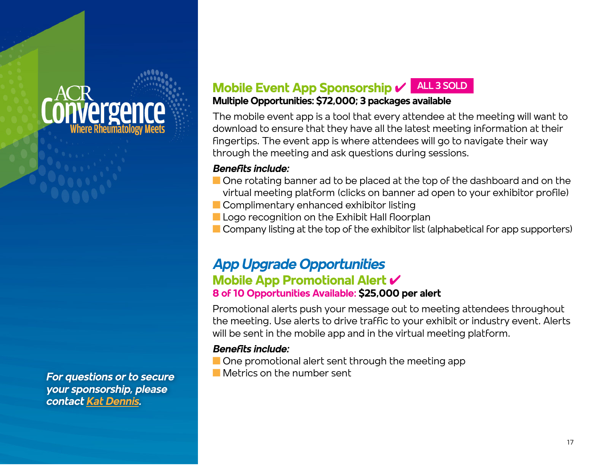*For questions or to secure your sponsorship, please contact [Kat Dennis.](mailto:kdennis%40rheumatology.org?subject=)*

#### **Mobile Event App Sponsorship** 4 **ALL 3 SOLD**

**Multiple Opportunities: \$72,000; 3 packages available**

The mobile event app is a tool that every attendee at the meeting will want to download to ensure that they have all the latest meeting information at their fingertips. The event app is where attendees will go to navigate their way through the meeting and ask questions during sessions.

#### *Benefits include:*

- $\blacksquare$  One rotating banner ad to be placed at the top of the dashboard and on the virtual meeting platform (clicks on banner ad open to your exhibitor profile)
- $\blacksquare$  Complimentary enhanced exhibitor listing
- **n Logo recognition on the Exhibit Hall floorplan**

 $\blacksquare$  Company listing at the top of the exhibitor list (alphabetical for app supporters)

### *App Upgrade Opportunities* **Mobile App Promotional Alert** 4 **8 of 10 Opportunities Available: \$25,000 per alert**

Promotional alerts push your message out to meeting attendees throughout the meeting. Use alerts to drive traffic to your exhibit or industry event. Alerts will be sent in the mobile app and in the virtual meeting platform.

#### *Benefits include:*

 $\blacksquare$  One promotional alert sent through the meeting app

**n** Metrics on the number sent